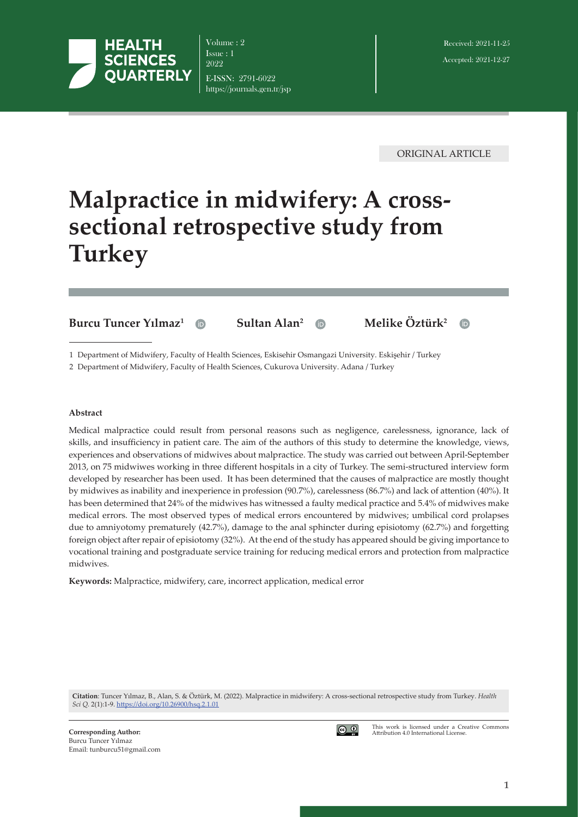

Volume : 2 Issue : 1 2022 E-ISSN: 2791-6022 https://journals.gen.tr/jsp

ORIGINAL ARTICLE

# **Malpractice in midwifery: A crosssectional retrospective study from Turkey**

**Burcu Tuncer Yılmaz<sup>1</sup> <b>ID** Sultan Alan<sup>2</sup> **ID** Melike Öztürk<sup>2</sup>



1 Department of Midwifery, Faculty of Health Sciences, Eskisehir Osmangazi University. Eskişehir / Turkey

2 Department of Midwifery, Faculty of Health Sciences, Cukurova University. Adana / Turkey

#### **Abstract**

Medical malpractice could result from personal reasons such as negligence, carelessness, ignorance, lack of skills, and insufficiency in patient care. The aim of the authors of this study to determine the knowledge, views, experiences and observations of midwives about malpractice. The study was carried out between April-September 2013, on 75 midwiwes working in three different hospitals in a city of Turkey. The semi-structured interview form developed by researcher has been used. It has been determined that the causes of malpractice are mostly thought by midwives as inability and inexperience in profession (90.7%), carelessness (86.7%) and lack of attention (40%). It has been determined that 24% of the midwives has witnessed a faulty medical practice and 5.4% of midwives make medical errors. The most observed types of medical errors encountered by midwives; umbilical cord prolapses due to amniyotomy prematurely (42.7%), damage to the anal sphincter during episiotomy (62.7%) and forgetting foreign object after repair of episiotomy (32%). At the end of the study has appeared should be giving importance to vocational training and postgraduate service training for reducing medical errors and protection from malpractice midwives.

**Keywords:** Malpractice, midwifery, care, incorrect application, medical error

**Citation**: Tuncer Yılmaz, B., Alan, S. & Öztürk, M. (2022). Malpractice in midwifery: A cross-sectional retrospective study from Turkey. *Health Sci Q.* 2(1):1-9. [https://doi.org/1](https://doi.org/)0.26900/hsq.2.1.01



This work is licensed under a Creative Commons Attribution 4.0 International License.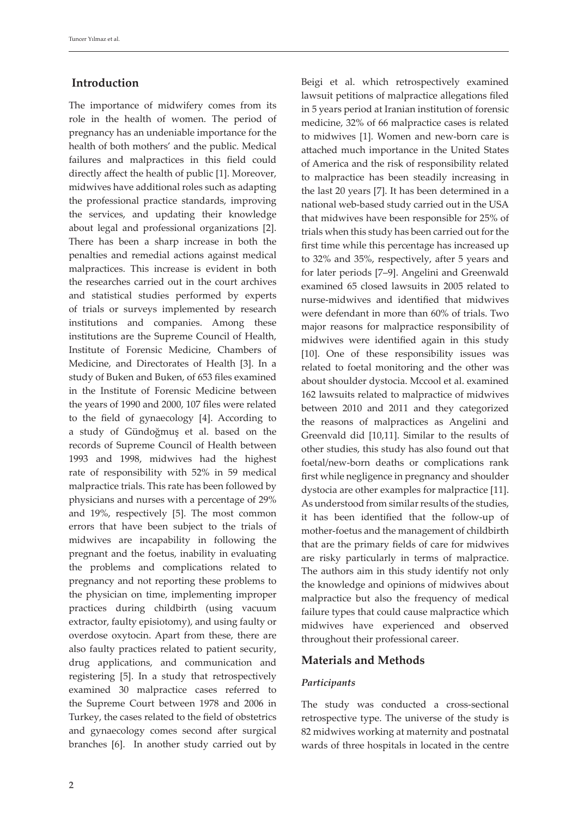## **Introduction**

The importance of midwifery comes from its role in the health of women. The period of pregnancy has an undeniable importance for the health of both mothers' and the public. Medical failures and malpractices in this field could directly affect the health of public [1]. Moreover, midwives have additional roles such as adapting the professional practice standards, improving the services, and updating their knowledge about legal and professional organizations [2]. There has been a sharp increase in both the penalties and remedial actions against medical malpractices. This increase is evident in both the researches carried out in the court archives and statistical studies performed by experts of trials or surveys implemented by research institutions and companies. Among these institutions are the Supreme Council of Health, Institute of Forensic Medicine, Chambers of Medicine, and Directorates of Health [3]. In a study of Buken and Buken, of 653 files examined in the Institute of Forensic Medicine between the years of 1990 and 2000, 107 files were related to the field of gynaecology [4]. According to a study of Gündoğmuş et al. based on the records of Supreme Council of Health between 1993 and 1998, midwives had the highest rate of responsibility with 52% in 59 medical malpractice trials. This rate has been followed by physicians and nurses with a percentage of 29% and 19%, respectively [5]. The most common errors that have been subject to the trials of midwives are incapability in following the pregnant and the foetus, inability in evaluating the problems and complications related to pregnancy and not reporting these problems to the physician on time, implementing improper practices during childbirth (using vacuum extractor, faulty episiotomy), and using faulty or overdose oxytocin. Apart from these, there are also faulty practices related to patient security, drug applications, and communication and registering [5]. In a study that retrospectively examined 30 malpractice cases referred to the Supreme Court between 1978 and 2006 in Turkey, the cases related to the field of obstetrics and gynaecology comes second after surgical branches [6]. In another study carried out by

Beigi et al. which retrospectively examined lawsuit petitions of malpractice allegations filed in 5 years period at Iranian institution of forensic medicine, 32% of 66 malpractice cases is related to midwives [1]. Women and new-born care is attached much importance in the United States of America and the risk of responsibility related to malpractice has been steadily increasing in the last 20 years [7]. It has been determined in a national web-based study carried out in the USA that midwives have been responsible for 25% of trials when this study has been carried out for the first time while this percentage has increased up to 32% and 35%, respectively, after 5 years and for later periods [7–9]. Angelini and Greenwald examined 65 closed lawsuits in 2005 related to nurse-midwives and identified that midwives were defendant in more than 60% of trials. Two major reasons for malpractice responsibility of midwives were identified again in this study [10]. One of these responsibility issues was related to foetal monitoring and the other was about shoulder dystocia. Mccool et al. examined 162 lawsuits related to malpractice of midwives between 2010 and 2011 and they categorized the reasons of malpractices as Angelini and Greenvald did [10,11]. Similar to the results of other studies, this study has also found out that foetal/new-born deaths or complications rank first while negligence in pregnancy and shoulder dystocia are other examples for malpractice [11]. As understood from similar results of the studies, it has been identified that the follow-up of mother-foetus and the management of childbirth that are the primary fields of care for midwives are risky particularly in terms of malpractice. The authors aim in this study identify not only the knowledge and opinions of midwives about malpractice but also the frequency of medical failure types that could cause malpractice which midwives have experienced and observed throughout their professional career.

## **Materials and Methods**

## *Participants*

The study was conducted a cross-sectional retrospective type. The universe of the study is 82 midwives working at maternity and postnatal wards of three hospitals in located in the centre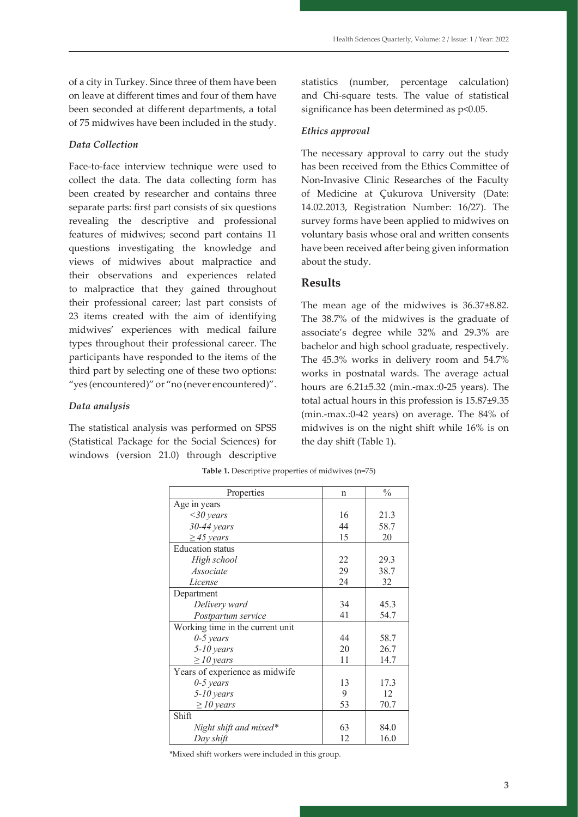of a city in Turkey. Since three of them have been on leave at different times and four of them have been seconded at different departments, a total of 75 midwives have been included in the study.

#### *Data Collection*

Face-to-face interview technique were used to collect the data. The data collecting form has been created by researcher and contains three separate parts: first part consists of six questions revealing the descriptive and professional features of midwives; second part contains 11 questions investigating the knowledge and views of midwives about malpractice and their observations and experiences related to malpractice that they gained throughout their professional career; last part consists of 23 items created with the aim of identifying midwives' experiences with medical failure types throughout their professional career. The participants have responded to the items of the third part by selecting one of these two options: "yes (encountered)" or "no (never encountered)".

#### *Data analysis*

The statistical analysis was performed on SPSS (Statistical Package for the Social Sciences) for the day shift (Table 1). windows (version 21.0) through descriptive

statistics (number, percentage calculation) and Chi-square tests. The value of statistical significance has been determined as  $p<0.05$ .

#### *Ethics approval*

The necessary approval to carry out the study has been received from the Ethics Committee of Non-Invasive Clinic Researches of the Faculty of Medicine at Çukurova University (Date: 14.02.2013, Registration Number: 16/27). The survey forms have been applied to midwives on voluntary basis whose oral and written consents have been received after being given information about the study.

## **Results**

The mean age of the midwives is 36.37±8.82. The 38.7% of the midwives is the graduate of associate's degree while 32% and 29.3% are bachelor and high school graduate, respectively. The 45.3% works in delivery room and 54.7% works in postnatal wards. The average actual hours are 6.21±5.32 (min.-max.:0-25 years). The total actual hours in this profession is 15.87±9.35 (min.-max.:0-42 years) on average. The 84% of midwives is on the night shift while 16% is on the day shift (Table 1).

| Properties                       | n  | $\frac{0}{0}$ |  |
|----------------------------------|----|---------------|--|
| Age in years                     |    |               |  |
| $<30$ years                      | 16 | 21.3          |  |
| $30-44$ years                    | 44 | 58.7          |  |
| $\geq$ 45 years                  | 15 | 20            |  |
| <b>Education</b> status          |    |               |  |
| High school                      | 22 | 29.3          |  |
| Associate                        | 29 | 38.7          |  |
| License                          | 24 | 32            |  |
| Department                       |    |               |  |
| Delivery ward                    | 34 | 45.3          |  |
| Postpartum service               | 41 | 54.7          |  |
| Working time in the current unit |    |               |  |
| $0-5$ years                      | 44 | 58.7          |  |
| $5-10$ years                     | 20 | 26.7          |  |
| $\geq$ 10 years                  | 11 | 14.7          |  |
| Years of experience as midwife   |    |               |  |
| $0-5$ years                      | 13 | 17.3          |  |
| $5-10$ years                     | 9  | 12            |  |
| $\geq$ 10 years                  | 53 | 70.7          |  |
| Shift                            |    |               |  |
| Night shift and mixed*           | 63 | 84.0          |  |
| Day shift                        | 12 | 16.0          |  |

It has been identified that the 53.3% of the midwives has never heard of "malpractice" concept before and

**Table 1.** Descriptive properties of midwives (n=75) **Table 1. Descriptive properties of midwives (n=75)**

\* **Mixed shift workers were included in this group.** \*Mixed shift workers were included in this group.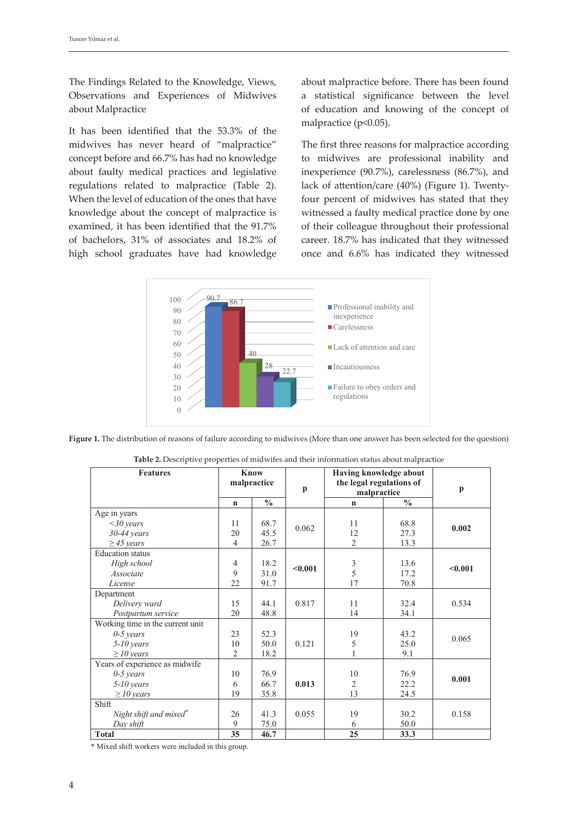The Findings Related to the Knowledge, Views, Observations and Experiences of Midwives about Malpractice

It has been identified that the  $53.3\%$  of the matrix for the patient safety  $\frac{1}{2}$ midwives has never heard of "malpractice" concept before and 66.7% has had no knowledge about faulty medical practices and legislative regulations related to malpractice (Table 2). When the level of education of the ones that have four percent of midwives has stated that knowledge about the concept of malpractice is examined, it has been identified that the 91.7% of bachelors, 31% of associates and 18.2% of high school graduates have had knowledge fully recovered and there has been no sequellae because of these faulty practices.

about malpractice before. There has been found rvations and Experiences of Midwives a statistical significance between the level t Malpractice **observed that the midwives who have been** who have been who have been with the more than 10 years with the more than 10 years who have been with the more than 10 years with the more than 10 years with the mo malpractice (p<0.05).

vives has never heard of "malpractice" The first three reasons for malpractice according ept before and 66.7% has had no knowledge bo midwives are professional inability and inexperience (90.7%), carelessness (86.7%), and ations related to malpractice (Table 2). lack of attention/care (40%) (Figure 1). Twentyfour percent of midwives has stated that they rledge about the concept of malpractice is witnessed a faulty medical practice done by one ined, it has been identified that the 91.7% of their colleague throughout their professional achelors, 31% of associates and 18.2% of career. 18.7% has indicated that they witnessed once and 6.6% has indicated they witnessed



**Figure 1.** The distribution of reasons of failure according to midwives (More than one answer has been selected for the question)

| <b>Features</b>                  | <b>Know</b><br>malpractice |               |                             | Having knowledge about<br>the legal regulations of |               |              |
|----------------------------------|----------------------------|---------------|-----------------------------|----------------------------------------------------|---------------|--------------|
|                                  |                            |               |                             |                                                    |               |              |
|                                  |                            |               | $\mathbf{p}$<br>malpractice |                                                    |               | $\mathbf{p}$ |
|                                  | $\mathbf n$                | $\frac{0}{0}$ |                             | $\mathbf n$                                        | $\frac{0}{0}$ |              |
| Age in years                     |                            |               |                             |                                                    |               |              |
| $<30$ years                      | 11                         | 68.7          | 0.062                       | 11                                                 | 68.8          | 0.002        |
| $30-44$ years                    | 20                         | 45.5          |                             | 12                                                 | 27.3          |              |
| $\geq$ 45 years                  | $\overline{4}$             | 26.7          |                             | $\overline{2}$                                     | 13.3          |              |
| Education status                 |                            |               |                             |                                                    |               |              |
| High school                      | $\overline{4}$             | 18.2          | < 0.001                     |                                                    | 13.6          | $0.001$      |
| Associate                        | 9                          | 31.0          |                             | $\frac{3}{5}$                                      | 17.2          |              |
| License                          | 22                         | 91.7          |                             | 17                                                 | 70.8          |              |
| Department                       |                            |               |                             |                                                    |               |              |
| Delivery ward                    | 15                         | 44.1          | 0.817                       | 11                                                 | 32.4          | 0.534        |
| Postpartum service               | 20                         | 48.8          |                             | 14                                                 | 34.1          |              |
| Working time in the current unit |                            |               |                             |                                                    |               |              |
| $0-5$ years                      | 23                         | 52.3          |                             | 19                                                 | 43.2          | 0.065        |
| $5-10$ years                     | 10                         | 50.0          | 0.121                       | 5                                                  | 25.0          |              |
| $\geq$ 10 years                  | $\overline{2}$             | 18.2          |                             |                                                    | 9.1           |              |
| Years of experience as midwife   |                            |               |                             |                                                    |               |              |
| $0-5$ years                      | 10                         | 76.9          |                             | 10                                                 | 76.9          |              |
| $5-10$ years                     | 6                          | 66.7          | 0.013                       | $\overline{c}$                                     | 22.2          | 0.001        |
| $\geq$ 10 years                  | 19                         | 35.8          |                             | 13                                                 | 24.5          |              |
| Shift                            |                            |               |                             |                                                    |               |              |
| Night shift and mixed*           | 26                         | 41.3          | 0.055                       | 19                                                 | 30.2          | 0.158        |
| Day shift                        | 9                          | 75.0          |                             | 6                                                  | 50.0          |              |
| <b>Total</b>                     | 35                         | 46.7          |                             | 25                                                 | 33.3          |              |

Table 2. Descriptive properties of midwifes and their information status about malpractice

**\* Mixed shift workers were included in this group.** \* Mixed shift workers were included in this group.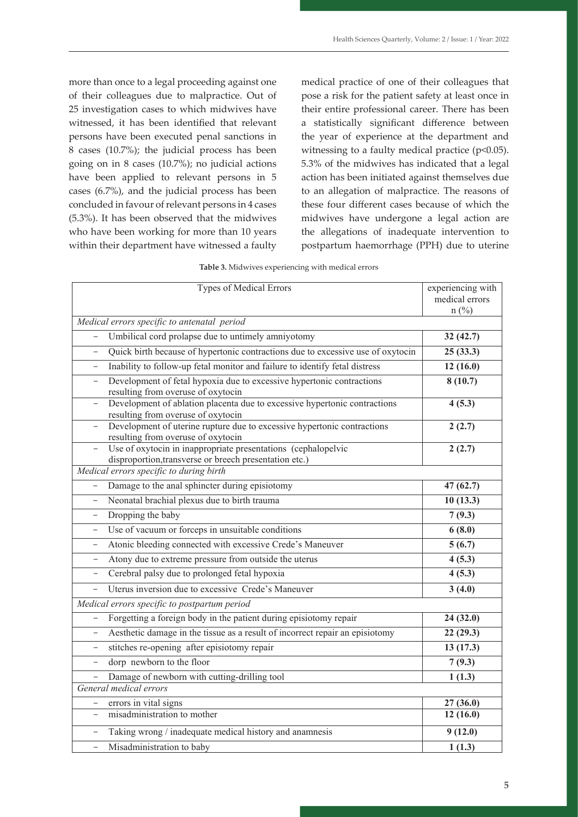more than once to a legal proceeding against one of their colleagues due to malpractice. Out of 25 investigation cases to which midwives have witnessed, it has been identified that relevant persons have been executed penal sanctions in 8 cases (10.7%); the judicial process has been going on in 8 cases (10.7%); no judicial actions have been applied to relevant persons in 5 cases (6.7%), and the judicial process has been concluded in favour of relevant persons in 4 cases (5.3%). It has been observed that the midwives who have been working for more than 10 years within their department have witnessed a faulty medical practice of one of their colleagues that pose a risk for the patient safety at least once in their entire professional career. There has been a statistically significant difference between the year of experience at the department and witnessing to a faulty medical practice (p<0.05). 5.3% of the midwives has indicated that a legal action has been initiated against themselves due to an allegation of malpractice. The reasons of these four different cases because of which the midwives have undergone a legal action are the allegations of inadequate intervention to postpartum haemorrhage (PPH) due to uterine

|  | Table 3. Midwives experiencing with medical errors |  |  |
|--|----------------------------------------------------|--|--|
|  |                                                    |  |  |

| Types of Medical Errors                                                                                                                   | experiencing with<br>medical errors<br>$n(^{0}/_{0})$ |  |  |  |
|-------------------------------------------------------------------------------------------------------------------------------------------|-------------------------------------------------------|--|--|--|
| Medical errors specific to antenatal period                                                                                               |                                                       |  |  |  |
| Umbilical cord prolapse due to untimely amniyotomy                                                                                        | 32(42.7)                                              |  |  |  |
| Quick birth because of hypertonic contractions due to excessive use of oxytocin<br>$\qquad \qquad -$                                      | 25(33.3)                                              |  |  |  |
| Inability to follow-up fetal monitor and failure to identify fetal distress                                                               | 12(16.0)                                              |  |  |  |
| Development of fetal hypoxia due to excessive hypertonic contractions<br>$\qquad \qquad -$<br>resulting from overuse of oxytocin          | 8(10.7)                                               |  |  |  |
| Development of ablation placenta due to excessive hypertonic contractions<br>resulting from overuse of oxytocin                           | 4(5.3)                                                |  |  |  |
| Development of uterine rupture due to excessive hypertonic contractions<br>$\overline{\phantom{0}}$<br>resulting from overuse of oxytocin | 2(2.7)                                                |  |  |  |
| Use of oxytocin in inappropriate presentations (cephalopelvic<br>disproportion, transverse or breech presentation etc.)                   | 2(2.7)                                                |  |  |  |
| Medical errors specific to during birth                                                                                                   |                                                       |  |  |  |
| Damage to the anal sphincter during episiotomy<br>$\overline{\phantom{a}}$                                                                | 47(62.7)                                              |  |  |  |
| Neonatal brachial plexus due to birth trauma                                                                                              | 10(13.3)                                              |  |  |  |
| Dropping the baby<br>$\overline{\phantom{m}}$                                                                                             | 7(9.3)                                                |  |  |  |
| Use of vacuum or forceps in unsuitable conditions<br>$\overline{\phantom{0}}$                                                             | 6(8.0)                                                |  |  |  |
| Atonic bleeding connected with excessive Crede's Maneuver                                                                                 | 5(6.7)                                                |  |  |  |
| Atony due to extreme pressure from outside the uterus<br>$\qquad \qquad -$                                                                | 4(5.3)                                                |  |  |  |
| Cerebral palsy due to prolonged fetal hypoxia<br>$\qquad \qquad -$                                                                        | 4(5.3)                                                |  |  |  |
| Uterus inversion due to excessive Crede's Maneuver                                                                                        | 3(4.0)                                                |  |  |  |
| Medical errors specific to postpartum period                                                                                              |                                                       |  |  |  |
| Forgetting a foreign body in the patient during episiotomy repair<br>$\overline{\phantom{0}}$                                             | 24(32.0)                                              |  |  |  |
| Aesthetic damage in the tissue as a result of incorrect repair an episiotomy<br>$\qquad \qquad -$                                         | 22(29.3)                                              |  |  |  |
| stitches re-opening after episiotomy repair<br>$\overline{\phantom{0}}$                                                                   | 13(17.3)                                              |  |  |  |
| dorp newborn to the floor<br>$\qquad \qquad -$                                                                                            | 7(9.3)                                                |  |  |  |
| Damage of newborn with cutting-drilling tool<br>$\overline{\phantom{0}}$                                                                  | 1(1.3)                                                |  |  |  |
| General medical errors                                                                                                                    |                                                       |  |  |  |
| errors in vital signs                                                                                                                     | 27(36.0)                                              |  |  |  |
| misadministration to mother<br>$\overline{\phantom{0}}$                                                                                   | 12(16.0)                                              |  |  |  |
| Taking wrong / inadequate medical history and anamnesis<br>$\overline{\phantom{0}}$                                                       | 9(12.0)                                               |  |  |  |
| Misadministration to baby<br>$\overline{a}$                                                                                               | 1(1.3)                                                |  |  |  |

In this descriptive retrospective study, the knowledge and opinions of midwives as well as their observations and experiences they gained throughout their professional career about faulty medical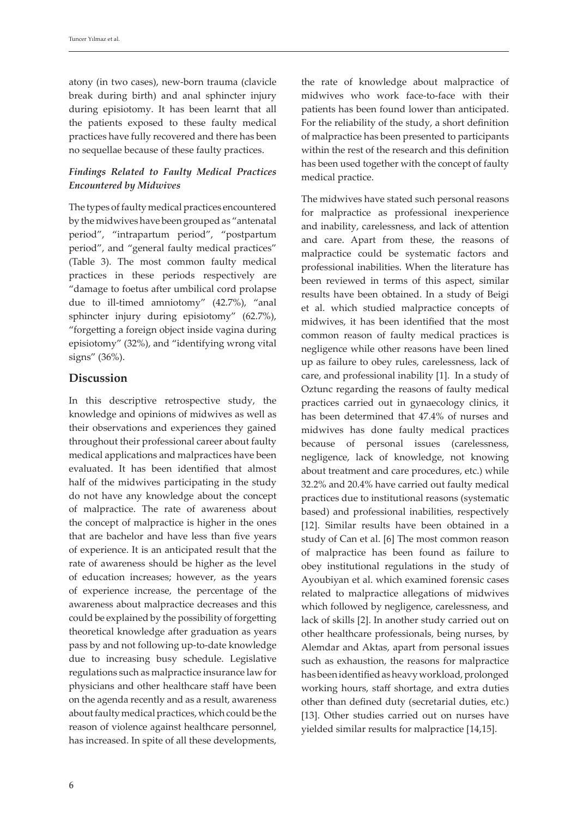atony (in two cases), new-born trauma (clavicle break during birth) and anal sphincter injury during episiotomy. It has been learnt that all the patients exposed to these faulty medical practices have fully recovered and there has been no sequellae because of these faulty practices.

# *Findings Related to Faulty Medical Practices Encountered by Midwives*

The types of faulty medical practices encountered by the midwives have been grouped as "antenatal period", "intrapartum period", "postpartum period", and "general faulty medical practices" (Table 3). The most common faulty medical practices in these periods respectively are "damage to foetus after umbilical cord prolapse due to ill-timed amniotomy" (42.7%), "anal sphincter injury during episiotomy" (62.7%), "forgetting a foreign object inside vagina during episiotomy" (32%), and "identifying wrong vital signs" (36%).

## **Discussion**

In this descriptive retrospective study, the knowledge and opinions of midwives as well as their observations and experiences they gained throughout their professional career about faulty medical applications and malpractices have been evaluated. It has been identified that almost half of the midwives participating in the study do not have any knowledge about the concept of malpractice. The rate of awareness about the concept of malpractice is higher in the ones that are bachelor and have less than five years of experience. It is an anticipated result that the rate of awareness should be higher as the level of education increases; however, as the years of experience increase, the percentage of the awareness about malpractice decreases and this could be explained by the possibility of forgetting theoretical knowledge after graduation as years pass by and not following up-to-date knowledge due to increasing busy schedule. Legislative regulations such as malpractice insurance law for physicians and other healthcare staff have been on the agenda recently and as a result, awareness about faulty medical practices, which could be the reason of violence against healthcare personnel, has increased. In spite of all these developments,

the rate of knowledge about malpractice of midwives who work face-to-face with their patients has been found lower than anticipated. For the reliability of the study, a short definition of malpractice has been presented to participants within the rest of the research and this definition has been used together with the concept of faulty medical practice.

The midwives have stated such personal reasons for malpractice as professional inexperience and inability, carelessness, and lack of attention and care. Apart from these, the reasons of malpractice could be systematic factors and professional inabilities. When the literature has been reviewed in terms of this aspect, similar results have been obtained. In a study of Beigi et al. which studied malpractice concepts of midwives, it has been identified that the most common reason of faulty medical practices is negligence while other reasons have been lined up as failure to obey rules, carelessness, lack of care, and professional inability [1]. In a study of Oztunc regarding the reasons of faulty medical practices carried out in gynaecology clinics, it has been determined that 47.4% of nurses and midwives has done faulty medical practices because of personal issues (carelessness, negligence, lack of knowledge, not knowing about treatment and care procedures, etc.) while 32.2% and 20.4% have carried out faulty medical practices due to institutional reasons (systematic based) and professional inabilities, respectively [12]. Similar results have been obtained in a study of Can et al. [6] The most common reason of malpractice has been found as failure to obey institutional regulations in the study of Ayoubiyan et al. which examined forensic cases related to malpractice allegations of midwives which followed by negligence, carelessness, and lack of skills [2]. In another study carried out on other healthcare professionals, being nurses, by Alemdar and Aktas, apart from personal issues such as exhaustion, the reasons for malpractice has been identified as heavy workload, prolonged working hours, staff shortage, and extra duties other than defined duty (secretarial duties, etc.) [13]. Other studies carried out on nurses have yielded similar results for malpractice [14,15].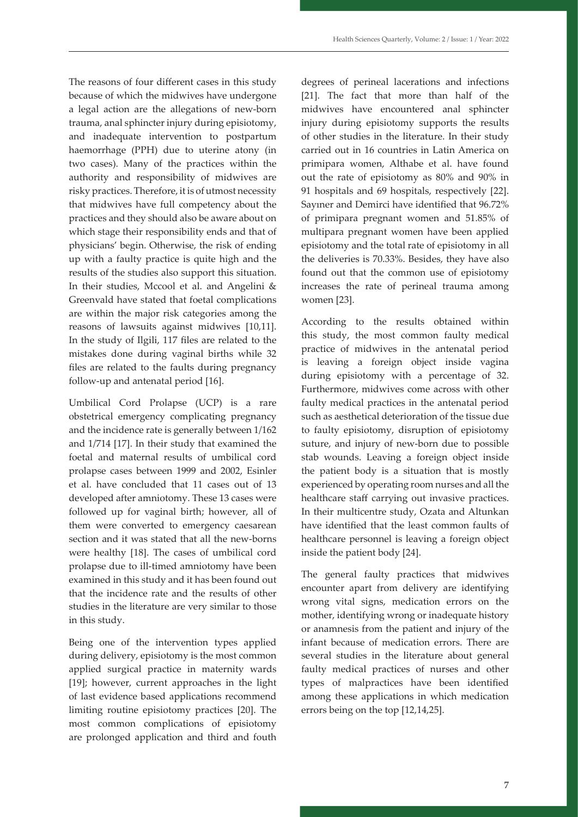The reasons of four different cases in this study because of which the midwives have undergone a legal action are the allegations of new-born trauma, anal sphincter injury during episiotomy, and inadequate intervention to postpartum haemorrhage (PPH) due to uterine atony (in two cases). Many of the practices within the authority and responsibility of midwives are risky practices. Therefore, it is of utmost necessity that midwives have full competency about the practices and they should also be aware about on which stage their responsibility ends and that of physicians' begin. Otherwise, the risk of ending up with a faulty practice is quite high and the results of the studies also support this situation. In their studies, Mccool et al. and Angelini & Greenvald have stated that foetal complications are within the major risk categories among the reasons of lawsuits against midwives [10,11]. In the study of Ilgili, 117 files are related to the mistakes done during vaginal births while 32 files are related to the faults during pregnancy follow-up and antenatal period [16].

Umbilical Cord Prolapse (UCP) is a rare obstetrical emergency complicating pregnancy and the incidence rate is generally between 1/162 and 1/714 [17]. In their study that examined the foetal and maternal results of umbilical cord prolapse cases between 1999 and 2002, Esinler et al. have concluded that 11 cases out of 13 developed after amniotomy. These 13 cases were followed up for vaginal birth; however, all of them were converted to emergency caesarean section and it was stated that all the new-borns were healthy [18]. The cases of umbilical cord prolapse due to ill-timed amniotomy have been examined in this study and it has been found out that the incidence rate and the results of other studies in the literature are very similar to those in this study.

Being one of the intervention types applied during delivery, episiotomy is the most common applied surgical practice in maternity wards [19]; however, current approaches in the light of last evidence based applications recommend limiting routine episiotomy practices [20]. The most common complications of episiotomy are prolonged application and third and fouth

degrees of perineal lacerations and infections [21]. The fact that more than half of the midwives have encountered anal sphincter injury during episiotomy supports the results of other studies in the literature. In their study carried out in 16 countries in Latin America on primipara women, Althabe et al. have found out the rate of episiotomy as 80% and 90% in 91 hospitals and 69 hospitals, respectively [22]. Sayıner and Demirci have identified that 96.72% of primipara pregnant women and 51.85% of multipara pregnant women have been applied episiotomy and the total rate of episiotomy in all the deliveries is 70.33%. Besides, they have also found out that the common use of episiotomy increases the rate of perineal trauma among women [23].

According to the results obtained within this study, the most common faulty medical practice of midwives in the antenatal period is leaving a foreign object inside vagina during episiotomy with a percentage of 32. Furthermore, midwives come across with other faulty medical practices in the antenatal period such as aesthetical deterioration of the tissue due to faulty episiotomy, disruption of episiotomy suture, and injury of new-born due to possible stab wounds. Leaving a foreign object inside the patient body is a situation that is mostly experienced by operating room nurses and all the healthcare staff carrying out invasive practices. In their multicentre study, Ozata and Altunkan have identified that the least common faults of healthcare personnel is leaving a foreign object inside the patient body [24].

The general faulty practices that midwives encounter apart from delivery are identifying wrong vital signs, medication errors on the mother, identifying wrong or inadequate history or anamnesis from the patient and injury of the infant because of medication errors. There are several studies in the literature about general faulty medical practices of nurses and other types of malpractices have been identified among these applications in which medication errors being on the top [12,14,25].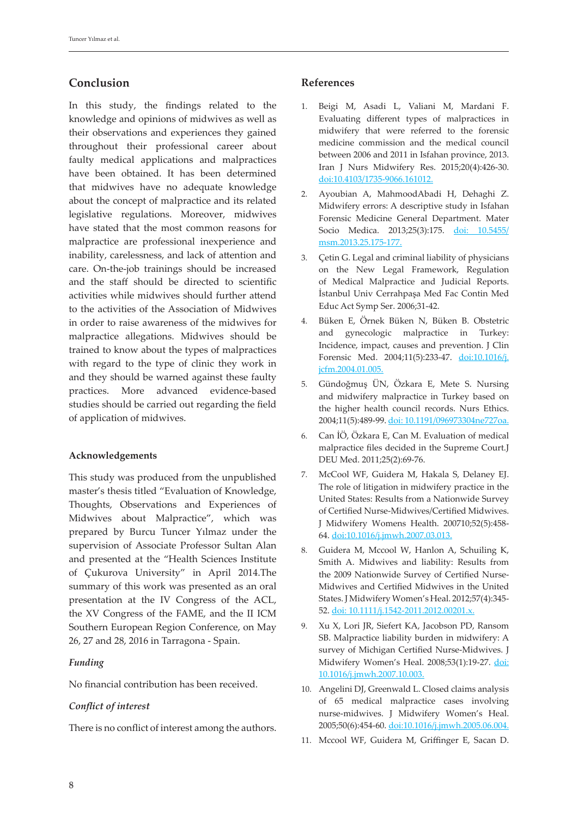# **Conclusion**

In this study, the findings related to the knowledge and opinions of midwives as well as their observations and experiences they gained throughout their professional career about faulty medical applications and malpractices have been obtained. It has been determined that midwives have no adequate knowledge about the concept of malpractice and its related legislative regulations. Moreover, midwives have stated that the most common reasons for malpractice are professional inexperience and inability, carelessness, and lack of attention and care. On-the-job trainings should be increased and the staff should be directed to scientific activities while midwives should further attend to the activities of the Association of Midwives in order to raise awareness of the midwives for malpractice allegations. Midwives should be trained to know about the types of malpractices with regard to the type of clinic they work in and they should be warned against these faulty practices. More advanced evidence-based studies should be carried out regarding the field of application of midwives.

## **Acknowledgements**

This study was produced from the unpublished master's thesis titled "Evaluation of Knowledge, Thoughts, Observations and Experiences of Midwives about Malpractice", which was prepared by Burcu Tuncer Yılmaz under the supervision of Associate Professor Sultan Alan and presented at the "Health Sciences Institute of Çukurova University" in April 2014.The summary of this work was presented as an oral presentation at the IV Congress of the ACL, the XV Congress of the FAME, and the II ICM Southern European Region Conference, on May 26, 27 and 28, 2016 in Tarragona - Spain.

### *Funding*

No financial contribution has been received.

#### *Conflict of interest*

There is no conflict of interest among the authors.

### **References**

- 1. Beigi M, Asadi L, Valiani M, Mardani F. Evaluating different types of malpractices in midwifery that were referred to the forensic medicine commission and the medical council between 2006 and 2011 in Isfahan province, 2013. Iran J Nurs Midwifery Res. 2015;20(4):426-30. doi:10.4103/1735-9066.161012.
- 2. Ayoubian A, MahmoodAbadi H, Dehaghi Z. Midwifery errors: A descriptive study in Isfahan Forensic Medicine General Department. Mater Socio Medica. 2013;25(3):175. doi: 10.5455/ msm.2013.25.175-177.
- 3. Çetin G. Legal and criminal liability of physicians on the New Legal Framework, Regulation of Medical Malpractice and Judicial Reports. İstanbul Univ Cerrahpaşa Med Fac Contin Med Educ Act Symp Ser. 2006;31-42.
- 4. Büken E, Örnek Büken N, Büken B. Obstetric and gynecologic malpractice in Turkey: Incidence, impact, causes and prevention. J Clin Forensic Med. 2004;11(5):233-47. doi:10.1016/j. jcfm.2004.01.005.
- 5. Gündoğmuş ÜN, Özkara E, Mete S. Nursing and midwifery malpractice in Turkey based on the higher health council records. Nurs Ethics. 2004;11(5):489-99. doi: 10.1191/096973304ne727oa.
- 6. Can İÖ, Özkara E, Can M. Evaluation of medical malpractice files decided in the Supreme Court.J DEU Med. 2011;25(2):69-76.
- 7. McCool WF, Guidera M, Hakala S, Delaney EJ. The role of litigation in midwifery practice in the United States: Results from a Nationwide Survey of Certified Nurse-Midwives/Certified Midwives. J Midwifery Womens Health. 200710;52(5):458- 64. doi:10.1016/j.jmwh.2007.03.013.
- 8. Guidera M, Mccool W, Hanlon A, Schuiling K, Smith A. Midwives and liability: Results from the 2009 Nationwide Survey of Certified Nurse-Midwives and Certified Midwives in the United States. J Midwifery Women's Heal. 2012;57(4):345- 52. doi: 10.1111/j.1542-2011.2012.00201.x.
- 9. Xu X, Lori JR, Siefert KA, Jacobson PD, Ransom SB. Malpractice liability burden in midwifery: A survey of Michigan Certified Nurse-Midwives. J Midwifery Women's Heal. 2008;53(1):19-27. doi: 10.1016/j.jmwh.2007.10.003.
- 10. Angelini DJ, Greenwald L. Closed claims analysis of 65 medical malpractice cases involving nurse-midwives. J Midwifery Women's Heal. 2005;50(6):454-60. doi:10.1016/j.jmwh.2005.06.004.
- 11. Mccool WF, Guidera M, Griffinger E, Sacan D.